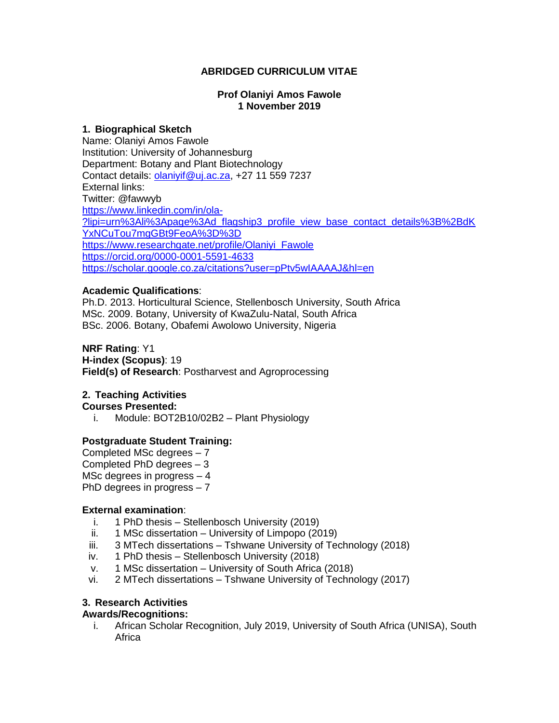## **ABRIDGED CURRICULUM VITAE**

#### **Prof Olaniyi Amos Fawole 1 November 2019**

#### **1. Biographical Sketch**

Name: Olaniyi Amos Fawole Institution: University of Johannesburg Department: Botany and Plant Biotechnology Contact details: *olaniyif@uj.ac.za*, +27 11 559 7237 External links: Twitter: @fawwyb [https://www.linkedin.com/in/ola-](https://www.linkedin.com/in/ola-?lipi=urn%3Ali%3Apage%3Ad_flagship3_profile_view_base_contact_details%3B%2BdKYxNCuTou7mgGBt9FeoA%3D%3D) [?lipi=urn%3Ali%3Apage%3Ad\\_flagship3\\_profile\\_view\\_base\\_contact\\_details%3B%2BdK](https://www.linkedin.com/in/ola-?lipi=urn%3Ali%3Apage%3Ad_flagship3_profile_view_base_contact_details%3B%2BdKYxNCuTou7mgGBt9FeoA%3D%3D) [YxNCuTou7mgGBt9FeoA%3D%3D](https://www.linkedin.com/in/ola-?lipi=urn%3Ali%3Apage%3Ad_flagship3_profile_view_base_contact_details%3B%2BdKYxNCuTou7mgGBt9FeoA%3D%3D) [https://www.researchgate.net/profile/Olaniyi\\_Fawole](https://www.researchgate.net/profile/Olaniyi_Fawole) <https://orcid.org/0000-0001-5591-4633> <https://scholar.google.co.za/citations?user=pPtv5wIAAAAJ&hl=en>

## **Academic Qualifications**:

Ph.D. 2013. Horticultural Science, Stellenbosch University, South Africa MSc. 2009. Botany, University of KwaZulu-Natal, South Africa BSc. 2006. Botany, Obafemi Awolowo University, Nigeria

## **NRF Rating**: Y1

**H-index (Scopus)**: 19 **Field(s) of Research**: Postharvest and Agroprocessing

## **2. Teaching Activities**

**Courses Presented:**

i. Module: BOT2B10/02B2 – Plant Physiology

## **Postgraduate Student Training:**

Completed MSc degrees – 7 Completed PhD degrees – 3 MSc degrees in progress – 4 PhD degrees in progress – 7

## **External examination**:

- i. 1 PhD thesis Stellenbosch University (2019)
- ii. 1 MSc dissertation University of Limpopo (2019)
- iii. 3 MTech dissertations Tshwane University of Technology (2018)
- iv. 1 PhD thesis Stellenbosch University (2018)
- v. 1 MSc dissertation University of South Africa (2018)
- vi. 2 MTech dissertations Tshwane University of Technology (2017)

# **3. Research Activities**

## **Awards/Recognitions:**

i. African Scholar Recognition, July 2019, University of South Africa (UNISA), South Africa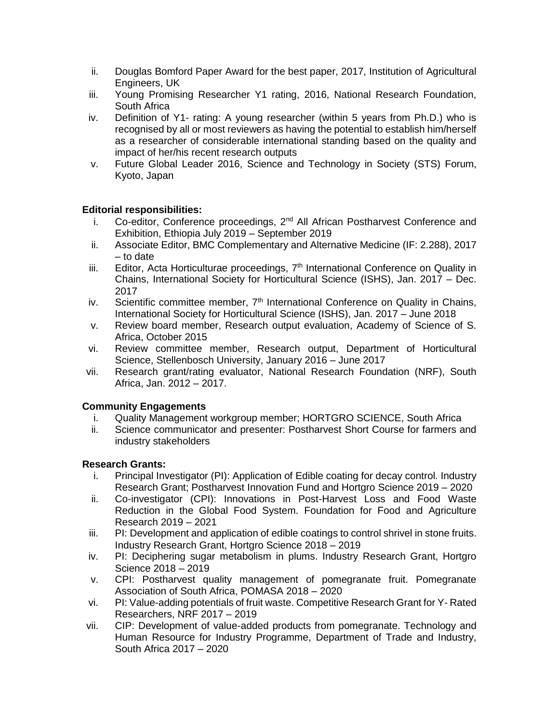- ii. Douglas Bomford Paper Award for the best paper, 2017, Institution of Agricultural Engineers, UK
- iii. Young Promising Researcher Y1 rating, 2016, National Research Foundation, South Africa
- iv. Definition of Y1- rating: A young researcher (within 5 years from Ph.D.) who is recognised by all or most reviewers as having the potential to establish him/herself as a researcher of considerable international standing based on the quality and impact of her/his recent research outputs
- v. Future Global Leader 2016, Science and Technology in Society (STS) Forum, Kyoto, Japan

# **Editorial responsibilities:**

- i. Co-editor, Conference proceedings,  $2^{nd}$  All African Postharvest Conference and Exhibition, Ethiopia July 2019 – September 2019
- ii. Associate Editor, BMC Complementary and Alternative Medicine (IF: 2.288), 2017 – to date
- iii. Editor, Acta Horticulturae proceedings,  $7<sup>th</sup>$  International Conference on Quality in Chains, International Society for Horticultural Science (ISHS), Jan. 2017 – Dec. 2017
- iv. Scientific committee member,  $7<sup>th</sup>$  International Conference on Quality in Chains, International Society for Horticultural Science (ISHS), Jan. 2017 – June 2018
- v. Review board member, Research output evaluation, Academy of Science of S. Africa, October 2015
- vi. Review committee member, Research output, Department of Horticultural Science, Stellenbosch University, January 2016 – June 2017
- vii. Research grant/rating evaluator, National Research Foundation (NRF), South Africa, Jan. 2012 – 2017.

## **Community Engagements**

- i. Quality Management workgroup member; HORTGRO SCIENCE, South Africa
- ii. Science communicator and presenter: Postharvest Short Course for farmers and industry stakeholders

## **Research Grants:**

- i. Principal Investigator (PI): Application of Edible coating for decay control. Industry Research Grant; Postharvest Innovation Fund and Hortgro Science 2019 – 2020
- ii. Co-investigator (CPI): Innovations in Post-Harvest Loss and Food Waste Reduction in the Global Food System. Foundation for Food and Agriculture Research 2019 – 2021
- iii. PI: Development and application of edible coatings to control shrivel in stone fruits. Industry Research Grant, Hortgro Science 2018 – 2019
- iv. PI: Deciphering sugar metabolism in plums. Industry Research Grant, Hortgro Science 2018 – 2019
- v. CPI: Postharvest quality management of pomegranate fruit. Pomegranate Association of South Africa, POMASA 2018 – 2020
- vi. PI: Value-adding potentials of fruit waste. Competitive Research Grant for Y- Rated Researchers, NRF 2017 – 2019
- vii. CIP: Development of value-added products from pomegranate. Technology and Human Resource for Industry Programme, Department of Trade and Industry, South Africa 2017 – 2020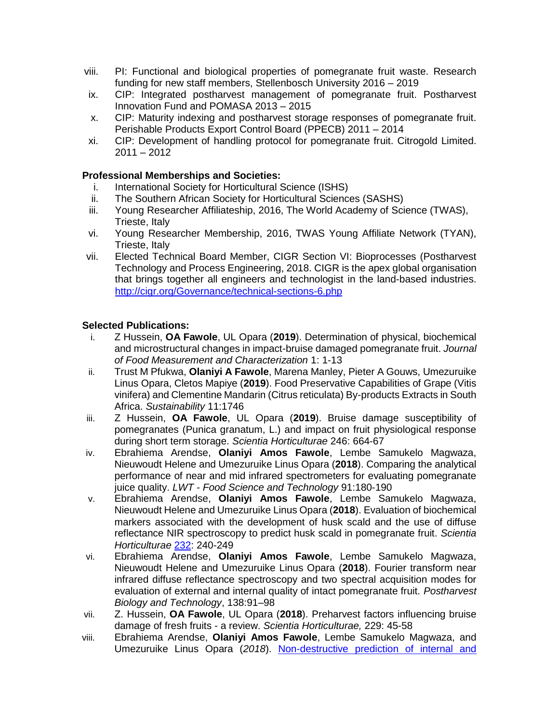- viii. PI: Functional and biological properties of pomegranate fruit waste. Research funding for new staff members, Stellenbosch University 2016 – 2019
- ix. CIP: Integrated postharvest management of pomegranate fruit. Postharvest Innovation Fund and POMASA 2013 – 2015
- x. CIP: Maturity indexing and postharvest storage responses of pomegranate fruit. Perishable Products Export Control Board (PPECB) 2011 – 2014
- xi. CIP: Development of handling protocol for pomegranate fruit. Citrogold Limited. 2011 – 2012

## **Professional Memberships and Societies:**

- i. International Society for Horticultural Science (ISHS)
- ii. The Southern African Society for Horticultural Sciences (SASHS)
- iii. Young Researcher Affiliateship, 2016, The World Academy of Science (TWAS), Trieste, Italy
- vi. Young Researcher Membership, 2016, TWAS Young Affiliate Network (TYAN), Trieste, Italy
- vii. Elected Technical Board Member, CIGR Section VI: Bioprocesses (Postharvest Technology and Process Engineering, 2018. CIGR is the apex global organisation that brings together all engineers and technologist in the land-based industries. <http://cigr.org/Governance/technical-sections-6.php>

## **Selected Publications:**

- i. Z Hussein, **OA Fawole**, UL Opara (**2019**). Determination of physical, biochemical and microstructural changes in impact-bruise damaged pomegranate fruit. *Journal of Food Measurement and Characterization* 1: 1-13
- ii. Trust M Pfukwa, **Olaniyi A Fawole**, Marena Manley, Pieter A Gouws, Umezuruike Linus Opara, Cletos Mapiye (**2019**). Food Preservative Capabilities of Grape (Vitis vinifera) and Clementine Mandarin (Citrus reticulata) By-products Extracts in South Africa. *Sustainability* 11:1746
- iii. Z Hussein, **OA Fawole**, UL Opara (**2019**). Bruise damage susceptibility of pomegranates (Punica granatum, L.) and impact on fruit physiological response during short term storage. *Scientia Horticulturae* 246: 664-67
- iv. Ebrahiema Arendse, **Olaniyi Amos Fawole**, Lembe Samukelo Magwaza, Nieuwoudt Helene and Umezuruike Linus Opara (**2018**). Comparing the analytical performance of near and mid infrared spectrometers for evaluating pomegranate juice quality. *LWT - Food Science and Technology* 91:180-190
- v. Ebrahiema Arendse, **Olaniyi Amos Fawole**, Lembe Samukelo Magwaza, Nieuwoudt Helene and Umezuruike Linus Opara (**2018**). Evaluation of biochemical markers associated with the development of husk scald and the use of diffuse reflectance NIR spectroscopy to predict husk scald in pomegranate fruit. *Scientia Horticulturae* [232:](https://www.sciencedirect.com/science/journal/03044238/232/supp/C) 240-249
- vi. Ebrahiema Arendse, **Olaniyi Amos Fawole**, Lembe Samukelo Magwaza, Nieuwoudt Helene and Umezuruike Linus Opara (**2018**). Fourier transform near infrared diffuse reflectance spectroscopy and two spectral acquisition modes for evaluation of external and internal quality of intact pomegranate fruit. *Postharvest Biology and Technology*, 138:91–98
- vii. Z. Hussein, **OA Fawole**, UL Opara (**2018**). Preharvest factors influencing bruise damage of fresh fruits - a review. *Scientia Horticulturae,* 229: 45-58
- viii. Ebrahiema Arendse, **Olaniyi Amos Fawole**, Lembe Samukelo Magwaza, and Umezuruike Linus Opara (*2018*). [Non-destructive prediction of internal and](http://www.sciencedirect.com/science/article/pii/S0260877417303424)